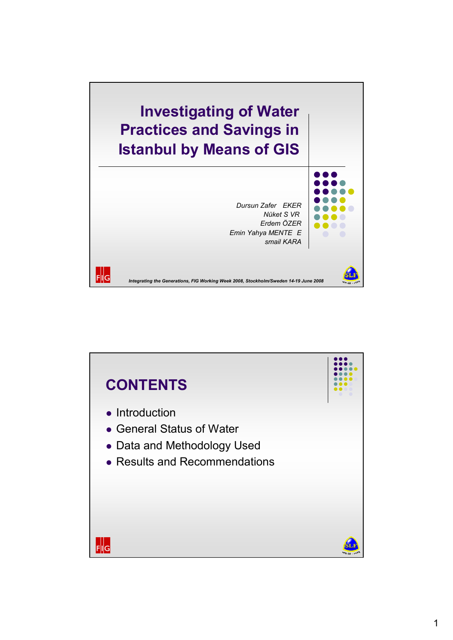

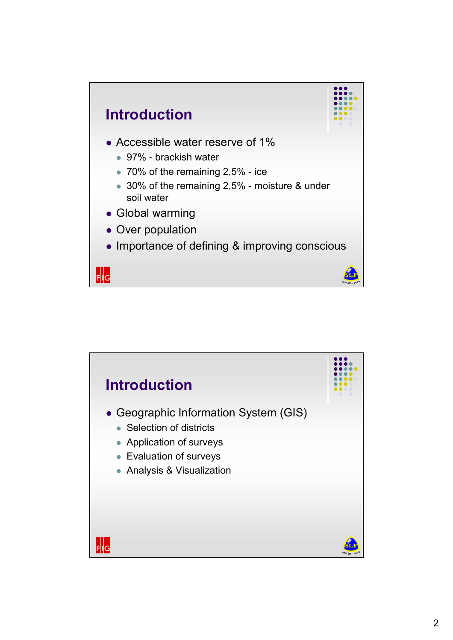

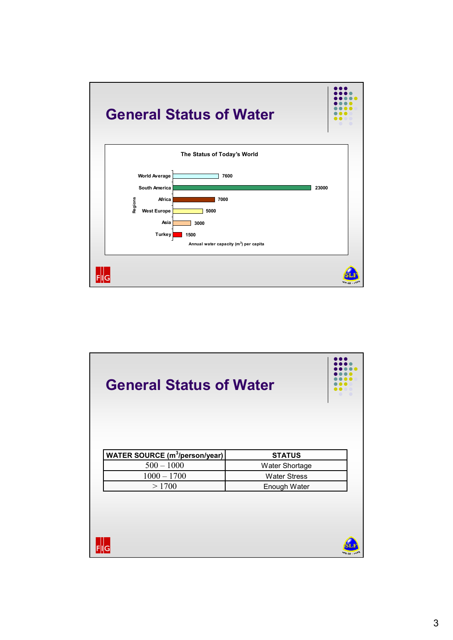

| <b>General Status of Water</b>                  |                     |  |
|-------------------------------------------------|---------------------|--|
| <b>WATER SOURCE (m<sup>3</sup>/person/year)</b> | <b>STATUS</b>       |  |
| $500 - 1000$                                    | Water Shortage      |  |
| $1000 - 1700$                                   | <b>Water Stress</b> |  |
| >1700                                           | Enough Water        |  |
|                                                 |                     |  |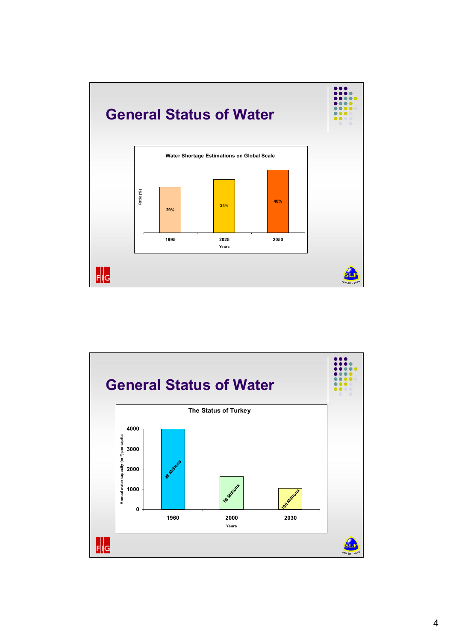

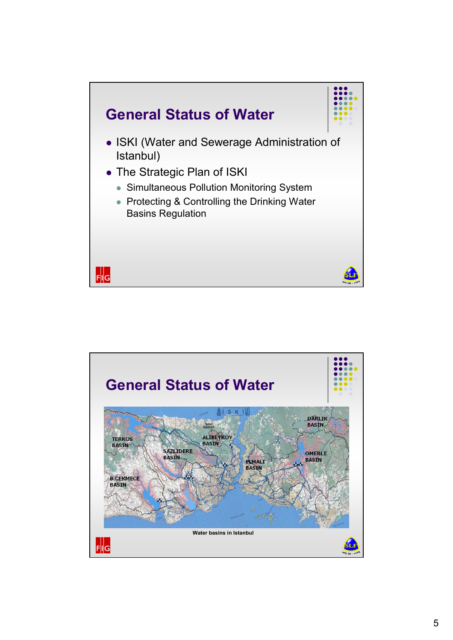

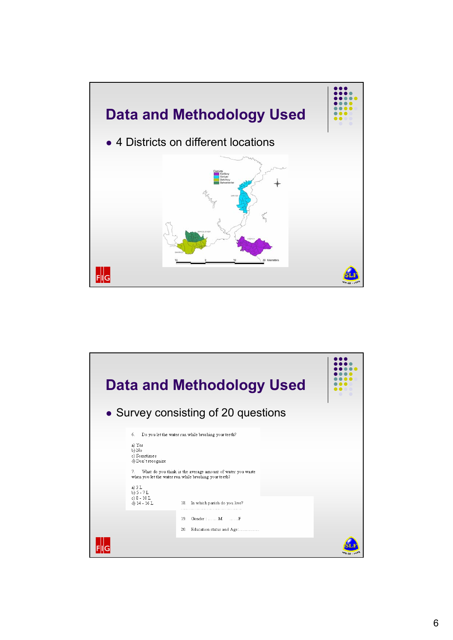

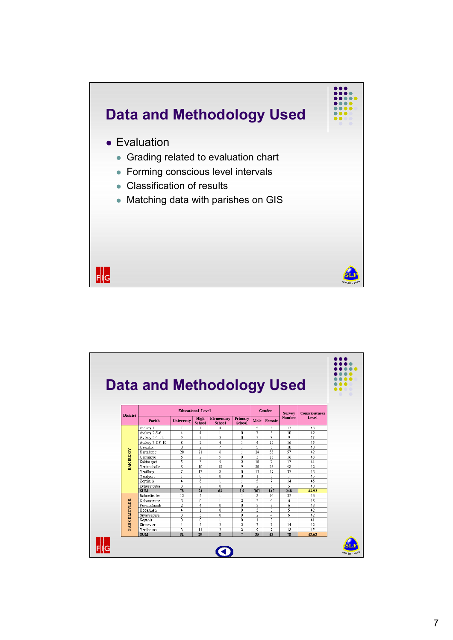

|                     | <b>Data and Methodology Used</b> |                   |                          |                         |                         |                 |                         |                 |                      |
|---------------------|----------------------------------|-------------------|--------------------------|-------------------------|-------------------------|-----------------|-------------------------|-----------------|----------------------|
|                     |                                  |                   |                          |                         |                         |                 |                         |                 |                      |
|                     |                                  |                   | <b>Educational Level</b> |                         |                         | <b>Gender</b>   |                         | <b>Survey</b>   | <b>Consciousness</b> |
| <b>District</b>     | Parish                           | <b>University</b> | High<br>School           | Elementary<br>School    | Primary<br>School       | Male            | Female                  | <b>Number</b>   | Level                |
|                     | Atakov 1.                        | 7                 | $\mathbf{1}$             | 4                       |                         | 5               | 8                       | 13              | 43                   |
| <b>BAK IRK OV</b>   | Atakoy 2-5-6.                    | $\overline{4}$    | $\overline{4}$           | $\mathbf{1}$            | ñ                       | 7               | $\overline{\mathbf{3}}$ | $\overline{10}$ | 49                   |
|                     | Atakov 3-4-11.                   | 5                 | $\overline{\mathbf{2}}$  | $\overline{2}$          | O                       | $\overline{2}$  | 7                       | 9               | 47                   |
|                     | Atakoy 7-8-9-10.                 | 8                 | $\overline{a}$           | 4                       | $\mathbf{1}$            | $\overline{4}$  | 12                      | 16              | 45                   |
|                     | Cevizlik                         | ō                 | $\overline{2}$           | 7                       | $\mathbf{1}$            | 5               | 5                       | 10              | 43                   |
|                     | Kartaltepe                       | 20                | $\overline{21}$          | 8                       | 1                       | $\overline{24}$ | 33                      | 57              | 42                   |
|                     | Osmaniye                         | 6                 | $\overline{\mathbf{2}}$  | 5                       | Ū.                      | 3               | 13                      | 16              | 43                   |
|                     | Sakizagaci                       | 5                 | 3                        | 5                       | $\overline{2}$          | 10              | 7                       | 17              | 44                   |
|                     | Yenimahalle                      | 8                 | 10                       | 18                      | 9                       | 20              | 28                      | 48              | 42                   |
|                     | Yesilkov                         | 7                 | 17                       | 8                       | 0                       | 13              | 19                      | 32              | 43                   |
|                     | Yesilyurt                        | $\mathbf{1}$      | 0                        | ñ                       | Ū.                      | $\mathbf{1}$    | ñ                       | $\mathbf{1}$    | 45                   |
|                     | Zeytinlik                        | $\overline{4}$    | 8                        | $\mathbf{1}$            | $\mathbf{1}$            | 5               | 9                       | 14              | 45                   |
|                     | Zuhuratbaba                      | 3                 | $\overline{a}$           | $\Omega$                | f.                      | $\overline{2}$  | $\overline{\mathbf{3}}$ | 5               | 40                   |
|                     | <b>SUM</b>                       | 78                | 74                       | 63                      | 16                      | 101             | 147                     | 248             | 43.92                |
|                     | Bahcelievler                     | 12                | 5                        | $\mathbf{1}$            | $\mathbf{1}$            | 8               | 14                      | 22              | 46                   |
|                     | Cobancesme                       | 3                 | 0                        | $\mathbf{1}$            | $\overline{a}$          | $\overline{a}$  | $\overline{4}$          | 6               | 48                   |
|                     | Fevzicakmak                      | $\overline{2}$    | $\overline{4}$           | n                       | Ū.                      | 3               | 3                       | б               | 43                   |
|                     | Kocasinan                        | $\overline{4}$    | $\mathbf{1}$             | $\mathbf{0}$            | Ū.                      | 3               | $\overline{2}$          | 5               | 42                   |
| <b>BAHCELIEVLER</b> | Siyavuspasa                      | 3                 | 3                        | $\Omega$                | Ū.                      | $\overline{a}$  | $\overline{4}$          | 6               | 42                   |
|                     | Soganh                           | 0                 | n                        | $\mathbf{1}$            | Ū.                      | $\mathbf{1}$    | n                       | $\mathbf{1}$    | 41                   |
|                     | Sirinevler                       | $\overline{4}$    | 5                        | 3                       | $\overline{a}$          | 7               | 7                       | 14              | 42                   |
|                     | Yenibosna                        | 3                 | 11                       | $\overline{a}$          | $\overline{\mathbf{2}}$ | 9               | 9                       | 18              | 45                   |
|                     | <b>SUM</b>                       | $\overline{31}$   | 29                       | $\overline{\mathbf{s}}$ | $\overline{7}$          | 35              | 43                      | 78              | 43.63                |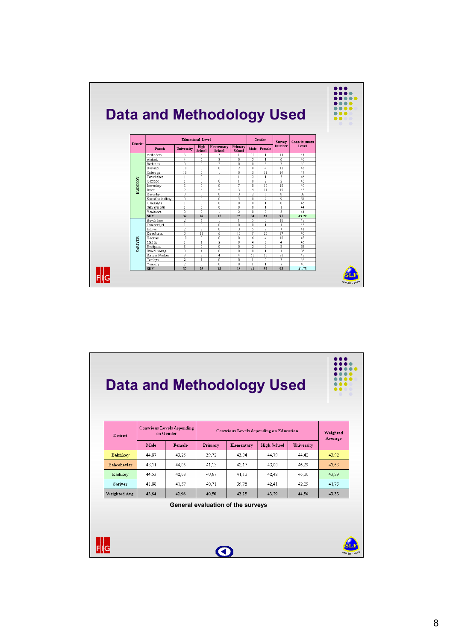

| <b>District</b>     |       | <b>Conscious Levels depending</b><br>on Gender | Conscious Levels depending on Education | Weighted                          |                    |                   |         |
|---------------------|-------|------------------------------------------------|-----------------------------------------|-----------------------------------|--------------------|-------------------|---------|
|                     | Male  | Female                                         | Primary                                 | Elementary                        | <b>High School</b> | <b>University</b> | Average |
| <b>Bakirkov</b>     | 44,87 | 43,26                                          | 39,72                                   | 43,04                             | 44,79              | 44,42             | 43.92   |
| <b>Bahcelievler</b> | 43.11 | 44.06                                          | 41.13                                   | 42.17                             | 43.00              | 46.29             | 43.63   |
| Kadikoy             | 44.53 | 42.63                                          | 40.67                                   | 41,12                             | 42.48              | 46,20             | 43,29   |
| Sariyer             | 41.88 | 41.57                                          | 40.71                                   | 39,78                             | 42.41              | 42.29             | 41.73   |
| Weighted Avg.       | 43.84 | 42.96                                          | 40.50                                   | 42.25                             | 43.79              | 44.56             | 43,33   |
|                     |       |                                                |                                         | General evaluation of the surveys |                    |                   |         |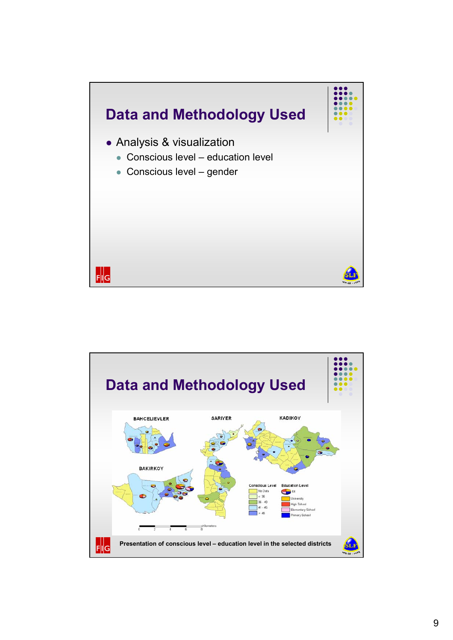

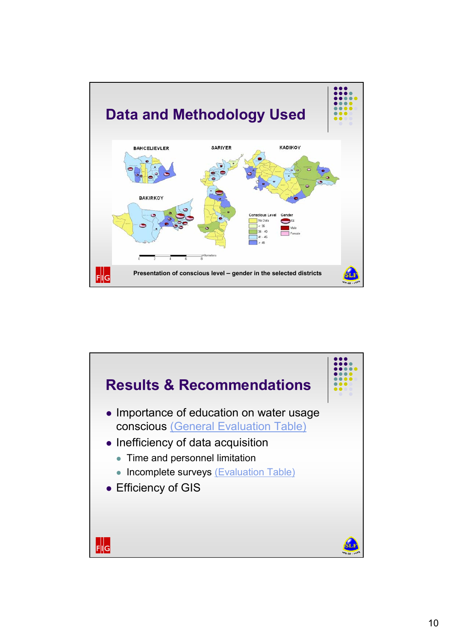